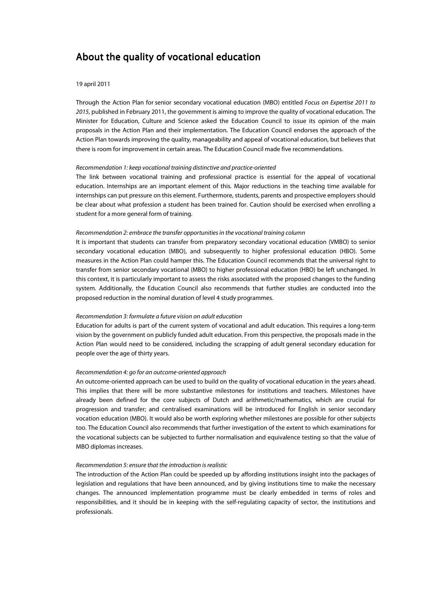# About the quality of vocational education

## 19 april 2011

Through the Action Plan for senior secondary vocational education (MBO) entitled Focus on Expertise 2011 to 2015, published in February 2011, the government is aiming to improve the quality of vocational education. The Minister for Education, Culture and Science asked the Education Council to issue its opinion of the main proposals in the Action Plan and their implementation. The Education Council endorses the approach of the Action Plan towards improving the quality, manageability and appeal of vocational education, but believes that there is room for improvement in certain areas. The Education Council made five recommendations.

#### Recommendation 1: keep vocational training distinctive and practice-oriented

The link between vocational training and professional practice is essential for the appeal of vocational education. Internships are an important element of this. Major reductions in the teaching time available for internships can put pressure on this element. Furthermore, students, parents and prospective employers should be clear about what profession a student has been trained for. Caution should be exercised when enrolling a student for a more general form of training.

## Recommendation 2: embrace the transfer opportunities in the vocational training column

It is important that students can transfer from preparatory secondary vocational education (VMBO) to senior secondary vocational education (MBO), and subsequently to higher professional education (HBO). Some measures in the Action Plan could hamper this. The Education Council recommends that the universal right to transfer from senior secondary vocational (MBO) to higher professional education (HBO) be left unchanged. In this context, it is particularly important to assess the risks associated with the proposed changes to the funding system. Additionally, the Education Council also recommends that further studies are conducted into the proposed reduction in the nominal duration of level 4 study programmes.

## Recommendation 3: formulate a future vision on adult education

Education for adults is part of the current system of vocational and adult education. This requires a long-term vision by the government on publicly funded adult education. From this perspective, the proposals made in the Action Plan would need to be considered, including the scrapping of adult general secondary education for people over the age of thirty years.

# Recommendation 4: go for an outcome-oriented approach

An outcome-oriented approach can be used to build on the quality of vocational education in the years ahead. This implies that there will be more substantive milestones for institutions and teachers. Milestones have already been defined for the core subjects of Dutch and arithmetic/mathematics, which are crucial for progression and transfer; and centralised examinations will be introduced for English in senior secondary vocation education (MBO). It would also be worth exploring whether milestones are possible for other subjects too. The Education Council also recommends that further investigation of the extent to which examinations for the vocational subjects can be subjected to further normalisation and equivalence testing so that the value of MBO diplomas increases.

#### Recommendation 5: ensure that the introduction is realistic

The introduction of the Action Plan could be speeded up by affording institutions insight into the packages of legislation and regulations that have been announced, and by giving institutions time to make the necessary changes. The announced implementation programme must be clearly embedded in terms of roles and responsibilities, and it should be in keeping with the self-regulating capacity of sector, the institutions and professionals.